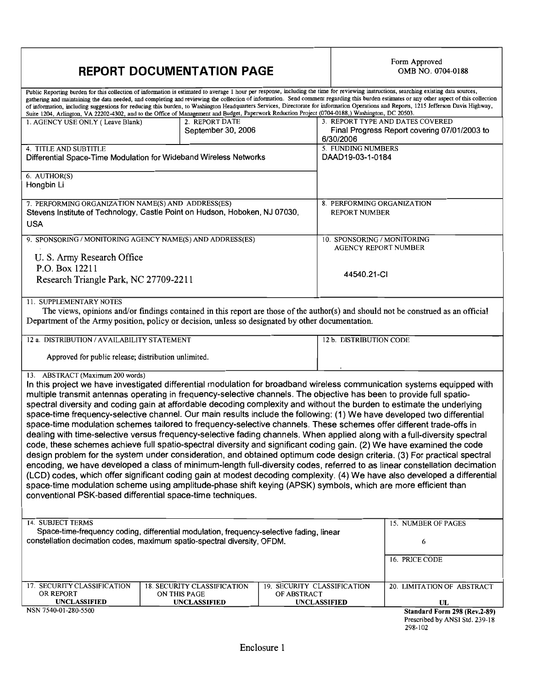## **REPORT DOCUMENTATION PAGE**

# Form Approved<br>OMB NO. 0704-0188

| Public Reporting burden for this collection of information is estimated to average 1 hour per response, including the time for reviewing instructions, searching existing data sources,<br>gathering and maintaining the data needed, and completing and reviewing the collection of information. Send comment regarding this burden estimates or any other aspect of this collection<br>of information, including suggestions for reducing this burden, to Washington Headquarters Services, Directorate for information Operations and Reports, 1215 Jefferson Davis Highway,<br>Suite 1204, Arlington, VA 22202-4302, and to the Office of Management and Budget, Paperwork Reduction Project (0704-0188,) Washington, DC 20503.                                                                                                                                                                                                                                                                                                                                                                                                                                                                                                                                                                                                                                                                                                                                                        |                                                                           |                                            |                                                     |                                                                           |
|--------------------------------------------------------------------------------------------------------------------------------------------------------------------------------------------------------------------------------------------------------------------------------------------------------------------------------------------------------------------------------------------------------------------------------------------------------------------------------------------------------------------------------------------------------------------------------------------------------------------------------------------------------------------------------------------------------------------------------------------------------------------------------------------------------------------------------------------------------------------------------------------------------------------------------------------------------------------------------------------------------------------------------------------------------------------------------------------------------------------------------------------------------------------------------------------------------------------------------------------------------------------------------------------------------------------------------------------------------------------------------------------------------------------------------------------------------------------------------------------|---------------------------------------------------------------------------|--------------------------------------------|-----------------------------------------------------|---------------------------------------------------------------------------|
| 1. AGENCY USE ONLY (Leave Blank)                                                                                                                                                                                                                                                                                                                                                                                                                                                                                                                                                                                                                                                                                                                                                                                                                                                                                                                                                                                                                                                                                                                                                                                                                                                                                                                                                                                                                                                           | 2. REPORT DATE<br>September 30, 2006                                      |                                            | 3. REPORT TYPE AND DATES COVERED<br>6/30/2006       | Final Progress Report covering 07/01/2003 to                              |
| 4. TITLE AND SUBTITLE<br>Differential Space-Time Modulation for Wideband Wireless Networks                                                                                                                                                                                                                                                                                                                                                                                                                                                                                                                                                                                                                                                                                                                                                                                                                                                                                                                                                                                                                                                                                                                                                                                                                                                                                                                                                                                                 |                                                                           |                                            | 5. FUNDING NUMBERS<br>DAAD19-03-1-0184              |                                                                           |
| 6. AUTHOR(S)<br>Hongbin Li                                                                                                                                                                                                                                                                                                                                                                                                                                                                                                                                                                                                                                                                                                                                                                                                                                                                                                                                                                                                                                                                                                                                                                                                                                                                                                                                                                                                                                                                 |                                                                           |                                            |                                                     |                                                                           |
| 7. PERFORMING ORGANIZATION NAME(S) AND ADDRESS(ES)<br>Stevens Institute of Technology, Castle Point on Hudson, Hoboken, NJ 07030,<br><b>USA</b>                                                                                                                                                                                                                                                                                                                                                                                                                                                                                                                                                                                                                                                                                                                                                                                                                                                                                                                                                                                                                                                                                                                                                                                                                                                                                                                                            |                                                                           |                                            | 8. PERFORMING ORGANIZATION<br><b>REPORT NUMBER</b>  |                                                                           |
| 9. SPONSORING / MONITORING AGENCY NAME(S) AND ADDRESS(ES)<br>U. S. Army Research Office                                                                                                                                                                                                                                                                                                                                                                                                                                                                                                                                                                                                                                                                                                                                                                                                                                                                                                                                                                                                                                                                                                                                                                                                                                                                                                                                                                                                    |                                                                           |                                            | 10. SPONSORING / MONITORING<br>AGENCY REPORT NUMBER |                                                                           |
| P.O. Box 12211<br>Research Triangle Park, NC 27709-2211                                                                                                                                                                                                                                                                                                                                                                                                                                                                                                                                                                                                                                                                                                                                                                                                                                                                                                                                                                                                                                                                                                                                                                                                                                                                                                                                                                                                                                    |                                                                           |                                            | 44540.21-CI                                         |                                                                           |
| 11. SUPPLEMENTARY NOTES<br>The views, opinions and/or findings contained in this report are those of the author(s) and should not be construed as an official<br>Department of the Army position, policy or decision, unless so designated by other documentation.                                                                                                                                                                                                                                                                                                                                                                                                                                                                                                                                                                                                                                                                                                                                                                                                                                                                                                                                                                                                                                                                                                                                                                                                                         |                                                                           |                                            |                                                     |                                                                           |
| 12 a. DISTRIBUTION / AVAILABILITY STATEMENT<br>Approved for public release; distribution unlimited.                                                                                                                                                                                                                                                                                                                                                                                                                                                                                                                                                                                                                                                                                                                                                                                                                                                                                                                                                                                                                                                                                                                                                                                                                                                                                                                                                                                        |                                                                           |                                            | 12 b. DISTRIBUTION CODE                             |                                                                           |
| 13. ABSTRACT (Maximum 200 words)<br>In this project we have investigated differential modulation for broadband wireless communication systems equipped with<br>multiple transmit antennas operating in frequency-selective channels. The objective has been to provide full spatio-<br>spectral diversity and coding gain at affordable decoding complexity and without the burden to estimate the underlying<br>space-time frequency-selective channel. Our main results include the following: (1) We have developed two differential<br>space-time modulation schemes tailored to frequency-selective channels. These schemes offer different trade-offs in<br>dealing with time-selective versus frequency-selective fading channels. When applied along with a full-diversity spectral<br>code, these schemes achieve full spatio-spectral diversity and significant coding gain. (2) We have examined the code<br>design problem for the system under consideration, and obtained optimum code design criteria. (3) For practical spectral<br>encoding, we have developed a class of minimum-length full-diversity codes, referred to as linear constellation decimation<br>(LCD) codes, which offer significant coding gain at modest decoding complexity. (4) We have also developed a differential<br>space-time modulation scheme using amplitude-phase shift keying (APSK) symbols, which are more efficient than<br>conventional PSK-based differential space-time techniques. |                                                                           |                                            |                                                     |                                                                           |
| <b>14. SUBJECT TERMS</b><br>Space-time-frequency coding, differential modulation, frequency-selective fading, linear<br>constellation decimation codes, maximum spatio-spectral diversity, OFDM.                                                                                                                                                                                                                                                                                                                                                                                                                                                                                                                                                                                                                                                                                                                                                                                                                                                                                                                                                                                                                                                                                                                                                                                                                                                                                           |                                                                           |                                            |                                                     | 15. NUMBER OF PAGES<br>6<br>16. PRICE CODE                                |
| 17. SECURITY CLASSIFICATION<br>OR REPORT<br><b>UNCLASSIFIED</b>                                                                                                                                                                                                                                                                                                                                                                                                                                                                                                                                                                                                                                                                                                                                                                                                                                                                                                                                                                                                                                                                                                                                                                                                                                                                                                                                                                                                                            | <b>18. SECURITY CLASSIFICATION</b><br>ON THIS PAGE<br><b>UNCLASSIFIED</b> | 19. SECURITY CLASSIFICATION<br>OF ABSTRACT | <b>UNCLASSIFIED</b>                                 | 20. LIMITATION OF ABSTRACT<br>UL                                          |
| NSN 7540-01-280-5500                                                                                                                                                                                                                                                                                                                                                                                                                                                                                                                                                                                                                                                                                                                                                                                                                                                                                                                                                                                                                                                                                                                                                                                                                                                                                                                                                                                                                                                                       |                                                                           |                                            |                                                     | Standard Form 298 (Rev.2-89)<br>Prescribed by ANSI Std. 239-18<br>298-102 |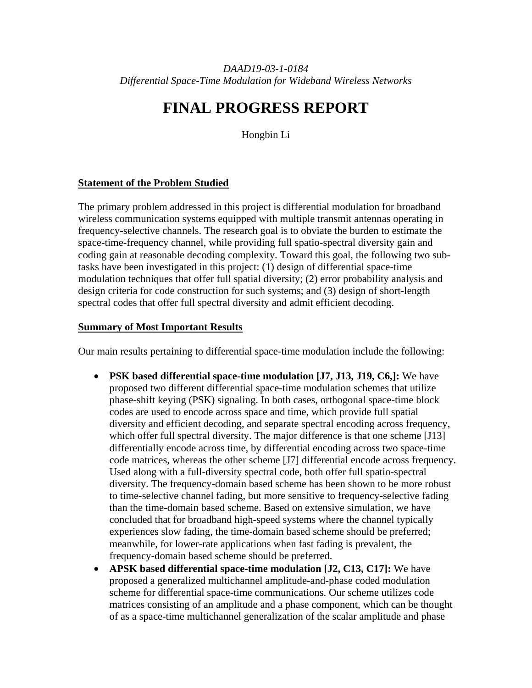# **FINAL PROGRESS REPORT**

Hongbin Li

#### **Statement of the Problem Studied**

The primary problem addressed in this project is differential modulation for broadband wireless communication systems equipped with multiple transmit antennas operating in frequency-selective channels. The research goal is to obviate the burden to estimate the space-time-frequency channel, while providing full spatio-spectral diversity gain and coding gain at reasonable decoding complexity. Toward this goal, the following two subtasks have been investigated in this project: (1) design of differential space-time modulation techniques that offer full spatial diversity; (2) error probability analysis and design criteria for code construction for such systems; and (3) design of short-length spectral codes that offer full spectral diversity and admit efficient decoding.

#### **Summary of Most Important Results**

Our main results pertaining to differential space-time modulation include the following:

- **PSK based differential space-time modulation [J7, J13, J19, C6,]:** We have proposed two different differential space-time modulation schemes that utilize phase-shift keying (PSK) signaling. In both cases, orthogonal space-time block codes are used to encode across space and time, which provide full spatial diversity and efficient decoding, and separate spectral encoding across frequency, which offer full spectral diversity. The major difference is that one scheme [J13] differentially encode across time, by differential encoding across two space-time code matrices, whereas the other scheme [J7] differential encode across frequency. Used along with a full-diversity spectral code, both offer full spatio-spectral diversity. The frequency-domain based scheme has been shown to be more robust to time-selective channel fading, but more sensitive to frequency-selective fading than the time-domain based scheme. Based on extensive simulation, we have concluded that for broadband high-speed systems where the channel typically experiences slow fading, the time-domain based scheme should be preferred; meanwhile, for lower-rate applications when fast fading is prevalent, the frequency-domain based scheme should be preferred.
- **APSK based differential space-time modulation [J2, C13, C17]:** We have proposed a generalized multichannel amplitude-and-phase coded modulation scheme for differential space-time communications. Our scheme utilizes code matrices consisting of an amplitude and a phase component, which can be thought of as a space-time multichannel generalization of the scalar amplitude and phase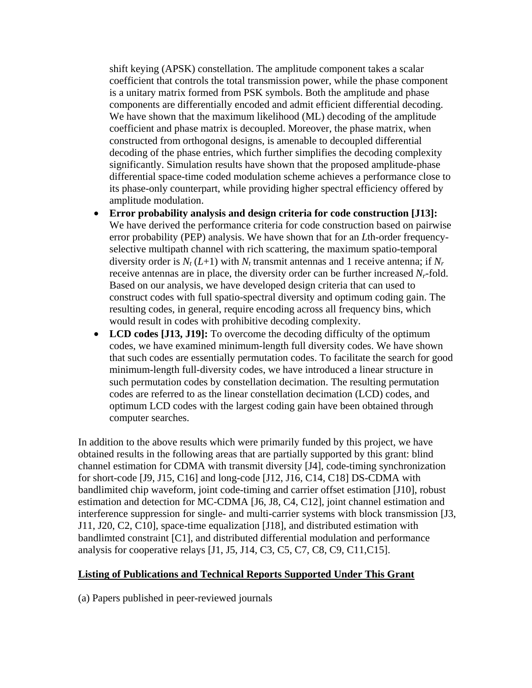shift keying (APSK) constellation. The amplitude component takes a scalar coefficient that controls the total transmission power, while the phase component is a unitary matrix formed from PSK symbols. Both the amplitude and phase components are differentially encoded and admit efficient differential decoding. We have shown that the maximum likelihood (ML) decoding of the amplitude coefficient and phase matrix is decoupled. Moreover, the phase matrix, when constructed from orthogonal designs, is amenable to decoupled differential decoding of the phase entries, which further simplifies the decoding complexity significantly. Simulation results have shown that the proposed amplitude-phase differential space-time coded modulation scheme achieves a performance close to its phase-only counterpart, while providing higher spectral efficiency offered by amplitude modulation.

- **Error probability analysis and design criteria for code construction [J13]:** We have derived the performance criteria for code construction based on pairwise error probability (PEP) analysis. We have shown that for an *L*th-order frequencyselective multipath channel with rich scattering, the maximum spatio-temporal diversity order is  $N_t$  (*L*+1) with  $N_t$  transmit antennas and 1 receive antenna; if  $N_t$ receive antennas are in place, the diversity order can be further increased *Nr*-fold. Based on our analysis, we have developed design criteria that can used to construct codes with full spatio-spectral diversity and optimum coding gain. The resulting codes, in general, require encoding across all frequency bins, which would result in codes with prohibitive decoding complexity.
- **LCD codes [J13, J19]:** To overcome the decoding difficulty of the optimum codes, we have examined minimum-length full diversity codes. We have shown that such codes are essentially permutation codes. To facilitate the search for good minimum-length full-diversity codes, we have introduced a linear structure in such permutation codes by constellation decimation. The resulting permutation codes are referred to as the linear constellation decimation (LCD) codes, and optimum LCD codes with the largest coding gain have been obtained through computer searches.

In addition to the above results which were primarily funded by this project, we have obtained results in the following areas that are partially supported by this grant: blind channel estimation for CDMA with transmit diversity [J4], code-timing synchronization for short-code [J9, J15, C16] and long-code [J12, J16, C14, C18] DS-CDMA with bandlimited chip waveform, joint code-timing and carrier offset estimation [J10], robust estimation and detection for MC-CDMA [J6, J8, C4, C12], joint channel estimation and interference suppression for single- and multi-carrier systems with block transmission [J3, J11, J20, C2, C10], space-time equalization [J18], and distributed estimation with bandlimted constraint [C1], and distributed differential modulation and performance analysis for cooperative relays [J1, J5, J14, C3, C5, C7, C8, C9, C11,C15].

#### **Listing of Publications and Technical Reports Supported Under This Grant**

(a) Papers published in peer-reviewed journals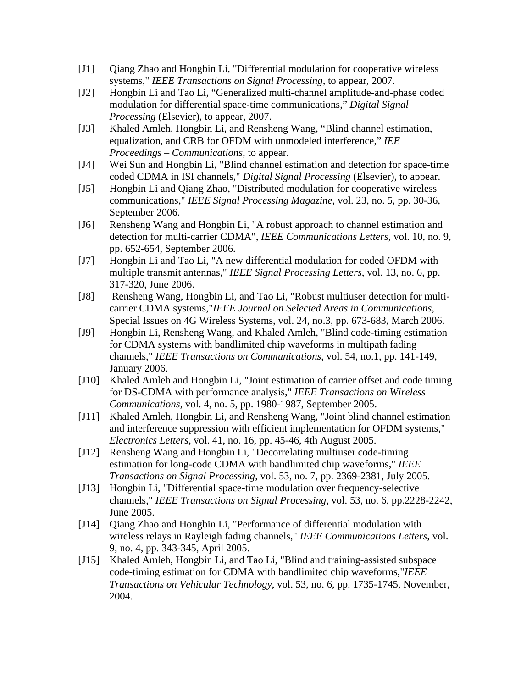- [J1] Qiang Zhao and Hongbin Li, "Differential modulation for cooperative wireless systems," *IEEE Transactions on Signal Processing*, to appear, 2007.
- [J2] Hongbin Li and Tao Li, "Generalized multi-channel amplitude-and-phase coded modulation for differential space-time communications," *Digital Signal Processing* (Elsevier), to appear, 2007.
- [J3] Khaled Amleh, Hongbin Li, and Rensheng Wang, "Blind channel estimation, equalization, and CRB for OFDM with unmodeled interference," *IEE Proceedings – Communications*, to appear.
- [J4] Wei Sun and Hongbin Li, "Blind channel estimation and detection for space-time coded CDMA in ISI channels," *Digital Signal Processing* (Elsevier), to appear.
- [J5] Hongbin Li and Qiang Zhao, "Distributed modulation for cooperative wireless communications," *IEEE Signal Processing Magazine*, vol. 23, no. 5, pp. 30-36, September 2006.
- [J6] Rensheng Wang and Hongbin Li, "A robust approach to channel estimation and detection for multi-carrier CDMA", *IEEE Communications Letters*, vol. 10, no. 9, pp. 652-654, September 2006.
- [J7] Hongbin Li and Tao Li, "A new differential modulation for coded OFDM with multiple transmit antennas," *IEEE Signal Processing Letters*, vol. 13, no. 6, pp. 317-320, June 2006.
- [J8] Rensheng Wang, Hongbin Li, and Tao Li, "Robust multiuser detection for multicarrier CDMA systems,"*IEEE Journal on Selected Areas in Communications*, Special Issues on 4G Wireless Systems, vol. 24, no.3, pp. 673-683, March 2006.
- [J9] Hongbin Li, Rensheng Wang, and Khaled Amleh, "Blind code-timing estimation for CDMA systems with bandlimited chip waveforms in multipath fading channels," *IEEE Transactions on Communications*, vol. 54, no.1, pp. 141-149, January 2006.
- [J10] Khaled Amleh and Hongbin Li, "Joint estimation of carrier offset and code timing for DS-CDMA with performance analysis," *IEEE Transactions on Wireless Communications,* vol. 4, no. 5, pp. 1980-1987, September 2005.
- [J11] Khaled Amleh, Hongbin Li, and Rensheng Wang, "Joint blind channel estimation and interference suppression with efficient implementation for OFDM systems," *Electronics Letters*, vol. 41, no. 16, pp. 45-46, 4th August 2005.
- [J12] Rensheng Wang and Hongbin Li, "Decorrelating multiuser code-timing estimation for long-code CDMA with bandlimited chip waveforms," *IEEE Transactions on Signal Processing*, vol. 53, no. 7, pp. 2369-2381, July 2005.
- [J13] Hongbin Li, "Differential space-time modulation over frequency-selective channels," *IEEE Transactions on Signal Processing*, vol. 53, no. 6, pp.2228-2242, June 2005.
- [J14] Qiang Zhao and Hongbin Li, "Performance of differential modulation with wireless relays in Rayleigh fading channels," *IEEE Communications Letters*, vol. 9, no. 4, pp. 343-345, April 2005.
- [J15] Khaled Amleh, Hongbin Li, and Tao Li, "Blind and training-assisted subspace code-timing estimation for CDMA with bandlimited chip waveforms,"*IEEE Transactions on Vehicular Technology*, vol. 53, no. 6, pp. 1735-1745, November, 2004.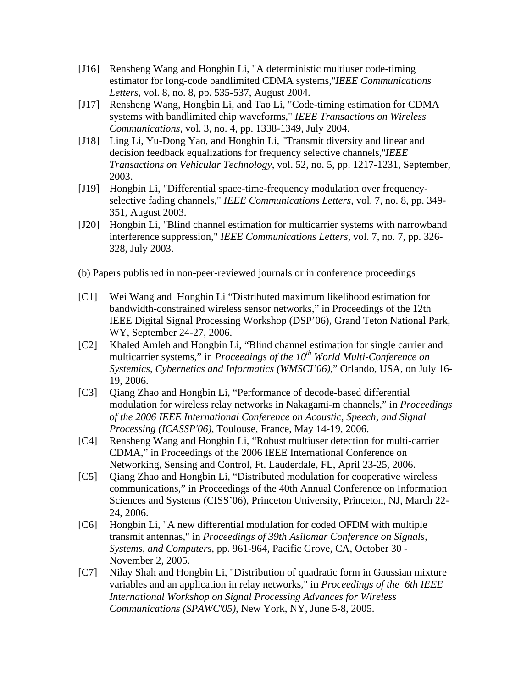- [J16] Rensheng Wang and Hongbin Li, "A deterministic multiuser code-timing estimator for long-code bandlimited CDMA systems,''*IEEE Communications Letters*, vol. 8, no. 8, pp. 535-537, August 2004.
- [J17] Rensheng Wang, Hongbin Li, and Tao Li, "Code-timing estimation for CDMA systems with bandlimited chip waveforms," *IEEE Transactions on Wireless Communications,* vol. 3, no. 4, pp. 1338-1349, July 2004.
- [J18] Ling Li, Yu-Dong Yao, and Hongbin Li, "Transmit diversity and linear and decision feedback equalizations for frequency selective channels,''*IEEE Transactions on Vehicular Technology*, vol. 52, no. 5, pp. 1217-1231, September, 2003.
- [J19] Hongbin Li, "Differential space-time-frequency modulation over frequencyselective fading channels," *IEEE Communications Letters*, vol. 7, no. 8, pp. 349- 351, August 2003.
- [J20] Hongbin Li, "Blind channel estimation for multicarrier systems with narrowband interference suppression," *IEEE Communications Letters*, vol. 7, no. 7, pp. 326- 328, July 2003.
- (b) Papers published in non-peer-reviewed journals or in conference proceedings
- [C1] Wei Wang and Hongbin Li "Distributed maximum likelihood estimation for bandwidth-constrained wireless sensor networks," in Proceedings of the 12th IEEE Digital Signal Processing Workshop (DSP'06), Grand Teton National Park, WY, September 24-27, 2006.
- [C2] Khaled Amleh and Hongbin Li, "Blind channel estimation for single carrier and multicarrier systems," in *Proceedings of the 10<sup>th</sup> World Multi-Conference on Systemics, Cybernetics and Informatics (WMSCI'06)*," Orlando, USA, on July 16- 19, 2006.
- [C3] Qiang Zhao and Hongbin Li, "Performance of decode-based differential modulation for wireless relay networks in Nakagami-m channels," in *Proceedings of the 2006 IEEE International Conference on Acoustic, Speech, and Signal Processing (ICASSP'06)*, Toulouse, France, May 14-19, 2006.
- [C4] Rensheng Wang and Hongbin Li, "Robust multiuser detection for multi-carrier CDMA," in Proceedings of the 2006 IEEE International Conference on Networking, Sensing and Control, Ft. Lauderdale, FL, April 23-25, 2006.
- [C5] Qiang Zhao and Hongbin Li, "Distributed modulation for cooperative wireless communications," in Proceedings of the 40th Annual Conference on Information Sciences and Systems (CISS'06), Princeton University, Princeton, NJ, March 22- 24, 2006.
- [C6] Hongbin Li, "A new differential modulation for coded OFDM with multiple transmit antennas," in *Proceedings of 39th Asilomar Conference on Signals, Systems, and Computers*, pp. 961-964, Pacific Grove, CA, October 30 - November 2, 2005.
- [C7] Nilay Shah and Hongbin Li, "Distribution of quadratic form in Gaussian mixture variables and an application in relay networks," in *Proceedings of the 6th IEEE International Workshop on Signal Processing Advances for Wireless Communications (SPAWC'05)*, New York, NY, June 5-8, 2005.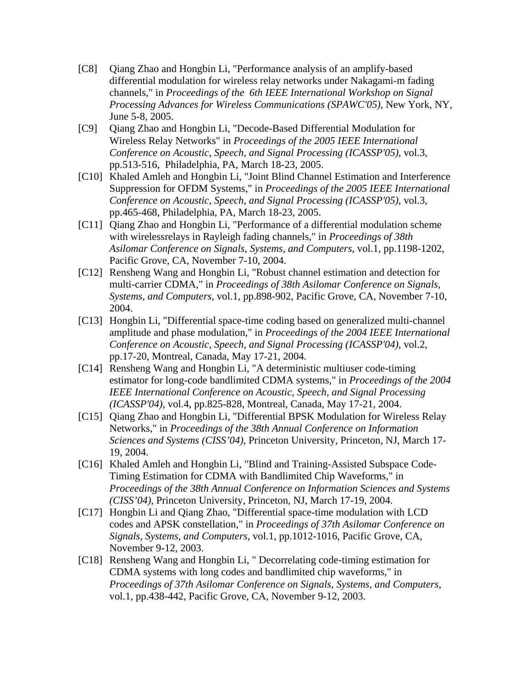- [C8] Qiang Zhao and Hongbin Li, "Performance analysis of an amplify-based differential modulation for wireless relay networks under Nakagami-m fading channels," in *Proceedings of the 6th IEEE International Workshop on Signal Processing Advances for Wireless Communications (SPAWC'05)*, New York, NY, June 5-8, 2005.
- [C9] Qiang Zhao and Hongbin Li, "Decode-Based Differential Modulation for Wireless Relay Networks" in *Proceedings of the 2005 IEEE International Conference on Acoustic, Speech, and Signal Processing (ICASSP'05)*, vol.3, pp.513-516, Philadelphia, PA, March 18-23, 2005.
- [C10] Khaled Amleh and Hongbin Li, "Joint Blind Channel Estimation and Interference Suppression for OFDM Systems," in *Proceedings of the 2005 IEEE International Conference on Acoustic, Speech, and Signal Processing (ICASSP'05)*, vol.3, pp.465-468, Philadelphia, PA, March 18-23, 2005.
- [C11] Qiang Zhao and Hongbin Li, "Performance of a differential modulation scheme with wirelessrelays in Rayleigh fading channels," in *Proceedings of 38th Asilomar Conference on Signals, Systems, and Computers*, vol.1, pp.1198-1202, Pacific Grove, CA, November 7-10, 2004.
- [C12] Rensheng Wang and Hongbin Li, "Robust channel estimation and detection for multi-carrier CDMA," in *Proceedings of 38th Asilomar Conference on Signals, Systems, and Computers*, vol.1, pp.898-902, Pacific Grove, CA, November 7-10, 2004.
- [C13] Hongbin Li, "Differential space-time coding based on generalized multi-channel amplitude and phase modulation," in *Proceedings of the 2004 IEEE International Conference on Acoustic, Speech, and Signal Processing (ICASSP'04)*, vol.2, pp.17-20, Montreal, Canada, May 17-21, 2004.
- [C14] Rensheng Wang and Hongbin Li, "A deterministic multiuser code-timing estimator for long-code bandlimited CDMA systems," in *Proceedings of the 2004 IEEE International Conference on Acoustic, Speech, and Signal Processing (ICASSP'04)*, vol.4, pp.825-828, Montreal, Canada, May 17-21, 2004.
- [C15] Qiang Zhao and Hongbin Li, "Differential BPSK Modulation for Wireless Relay Networks," in *Proceedings of the 38th Annual Conference on Information Sciences and Systems (CISS'04)*, Princeton University, Princeton, NJ, March 17- 19, 2004.
- [C16] Khaled Amleh and Hongbin Li, "Blind and Training-Assisted Subspace Code-Timing Estimation for CDMA with Bandlimited Chip Waveforms," in *Proceedings of the 38th Annual Conference on Information Sciences and Systems (CISS'04)*, Princeton University, Princeton, NJ, March 17-19, 2004.
- [C17] Hongbin Li and Qiang Zhao, "Differential space-time modulation with LCD codes and APSK constellation," in *Proceedings of 37th Asilomar Conference on Signals, Systems, and Computers*, vol.1, pp.1012-1016, Pacific Grove, CA, November 9-12, 2003.
- [C18] Rensheng Wang and Hongbin Li, " Decorrelating code-timing estimation for CDMA systems with long codes and bandlimited chip waveforms," in *Proceedings of 37th Asilomar Conference on Signals, Systems, and Computers*, vol.1, pp.438-442, Pacific Grove, CA, November 9-12, 2003.